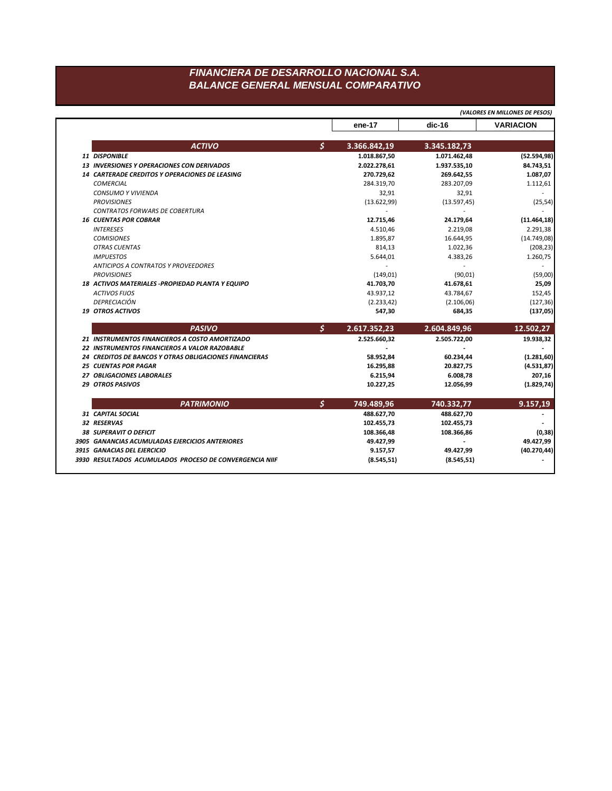## FINANCIERA DE DESARROLLO NACIONAL S.A. **BALANCE GENERAL MENSUAL COMPARATIVO**

|                                                               | ene-17             | $dic-16$     | <b>VARIACION</b>                       |
|---------------------------------------------------------------|--------------------|--------------|----------------------------------------|
| <b>ACTIVO</b>                                                 | \$<br>3.366.842,19 | 3.345.182,73 |                                        |
| <b>11 DISPONIBLE</b>                                          | 1.018.867,50       | 1.071.462,48 | (52.594, 98)                           |
| <b>13 INVERSIONES Y OPERACIONES CON DERIVADOS</b>             | 2.022.278,61       | 1.937.535,10 | 84.743,51                              |
| <b>14 CARTERADE CREDITOS Y OPERACIONES DE LEASING</b>         | 270.729,62         | 269.642,55   | 1.087,07                               |
| <b>COMERCIAL</b>                                              | 284.319,70         | 283.207,09   | 1.112,61                               |
| <b>CONSUMO Y VIVIENDA</b>                                     | 32,91              | 32,91        |                                        |
| <b>PROVISIONES</b>                                            | (13.622,99)        | (13.597, 45) | (25, 54)                               |
| <b>CONTRATOS FORWARS DE COBERTURA</b>                         |                    |              |                                        |
| <b>16 CUENTAS POR COBRAR</b>                                  | 12.715,46          | 24.179,64    | (11.464, 18)                           |
| <b>INTERESES</b>                                              | 4.510,46           | 2.219,08     | 2.291,38                               |
| <b>COMISIONES</b>                                             | 1.895,87           | 16.644,95    | (14.749,08)                            |
| <b>OTRAS CUENTAS</b>                                          | 814,13             | 1.022,36     | (208, 23)                              |
| <b>IMPUESTOS</b>                                              | 5.644,01           | 4.383,26     | 1.260,75                               |
| <b>ANTICIPOS A CONTRATOS Y PROVEEDORES</b>                    |                    |              |                                        |
| <b>PROVISIONES</b>                                            | (149, 01)          | (90, 01)     | (59,00)                                |
| 18 ACTIVOS MATERIALES - PROPIEDAD PLANTA Y EQUIPO             | 41.703,70          | 41.678,61    | 25,09                                  |
| <b>ACTIVOS FIJOS</b>                                          | 43.937,12          | 43.784,67    | 152,45                                 |
| <b>DEPRECIACIÓN</b>                                           | (2.233, 42)        | (2.106, 06)  | (127, 36)                              |
| 19 OTROS ACTIVOS                                              | 547,30             | 684,35       | (137,05)                               |
| <b>PASIVO</b>                                                 | \$<br>2.617.352,23 | 2.604.849,96 | 12.502,27                              |
|                                                               |                    |              |                                        |
| 21 INSTRUMENTOS FINANCIEROS A COSTO AMORTIZADO                | 2.525.660,32       | 2.505.722,00 | 19.938,32                              |
| 22 INSTRUMENTOS FINANCIEROS A VALOR RAZOBABLE                 |                    |              |                                        |
| <b>24 CREDITOS DE BANCOS Y OTRAS OBLIGACIONES FINANCIERAS</b> | 58.952,84          | 60.234,44    |                                        |
| <b>25 CUENTAS POR PAGAR</b>                                   | 16.295,88          | 20.827,75    |                                        |
| 27 OBLIGACIONES LABORALES                                     | 6.215,94           | 6.008,78     | (1.281, 60)<br>(4.531, 87)<br>207,16   |
| 29 OTROS PASIVOS                                              | 10.227,25          | 12.056,99    |                                        |
| <b>PATRIMONIO</b>                                             | \$<br>749.489,96   | 740.332,77   | 9.157,19                               |
| 31 CAPITAL SOCIAL                                             | 488.627,70         | 488.627,70   |                                        |
| 32 RESERVAS                                                   | 102.455,73         | 102.455,73   |                                        |
| <b>38 SUPERAVIT O DEFICIT</b>                                 | 108.366,48         | 108.366,86   |                                        |
| 3905 GANANCIAS ACUMULADAS EJERCICIOS ANTERIORES               | 49.427,99          |              | 49.427,99                              |
| 3915 GANACIAS DEL EJERCICIO                                   | 9.157,57           | 49.427,99    | (1.829, 74)<br>(0, 38)<br>(40.270, 44) |